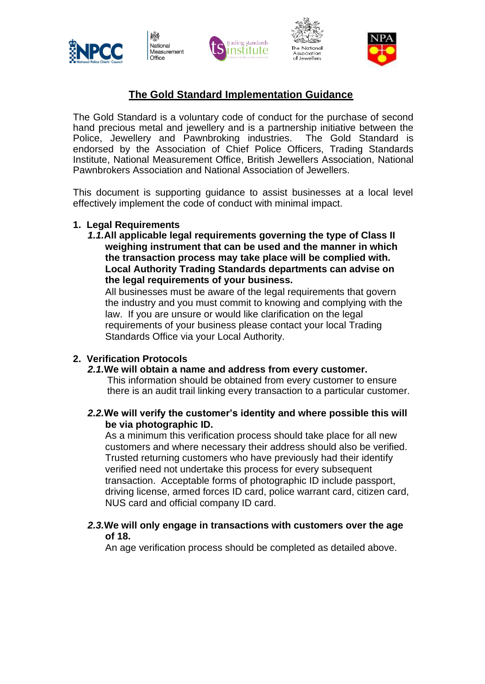

National Measurement Office







# **The Gold Standard Implementation Guidance**

The Gold Standard is a voluntary code of conduct for the purchase of second hand precious metal and jewellery and is a partnership initiative between the Police, Jewellery and Pawnbroking industries. The Gold Standard is endorsed by the Association of Chief Police Officers, Trading Standards Institute, National Measurement Office, British Jewellers Association, National Pawnbrokers Association and National Association of Jewellers.

This document is supporting guidance to assist businesses at a local level effectively implement the code of conduct with minimal impact.

## **1. Legal Requirements**

*1.1.***All applicable legal requirements governing the type of Class II weighing instrument that can be used and the manner in which the transaction process may take place will be complied with. Local Authority Trading Standards departments can advise on the legal requirements of your business.**

All businesses must be aware of the legal requirements that govern the industry and you must commit to knowing and complying with the law. If you are unsure or would like clarification on the legal requirements of your business please contact your local Trading Standards Office via your Local Authority.

# **2. Verification Protocols**

#### *2.1.***We will obtain a name and address from every customer.**

This information should be obtained from every customer to ensure there is an audit trail linking every transaction to a particular customer.

## *2.2.***We will verify the customer's identity and where possible this will be via photographic ID.**

As a minimum this verification process should take place for all new customers and where necessary their address should also be verified. Trusted returning customers who have previously had their identify verified need not undertake this process for every subsequent transaction. Acceptable forms of photographic ID include passport, driving license, armed forces ID card, police warrant card, citizen card, NUS card and official company ID card.

## *2.3.***We will only engage in transactions with customers over the age of 18.**

An age verification process should be completed as detailed above.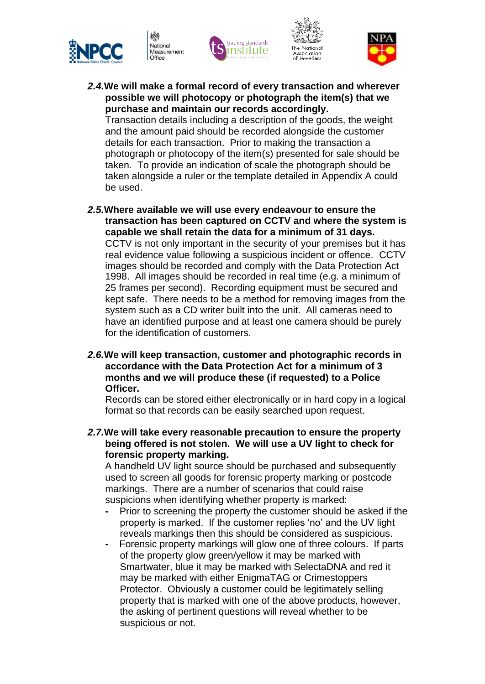







*2.4.***We will make a formal record of every transaction and wherever possible we will photocopy or photograph the item(s) that we purchase and maintain our records accordingly.**

Transaction details including a description of the goods, the weight and the amount paid should be recorded alongside the customer details for each transaction. Prior to making the transaction a photograph or photocopy of the item(s) presented for sale should be taken. To provide an indication of scale the photograph should be taken alongside a ruler or the template detailed in Appendix A could be used.

- *2.5.***Where available we will use every endeavour to ensure the transaction has been captured on CCTV and where the system is capable we shall retain the data for a minimum of 31 days.** CCTV is not only important in the security of your premises but it has real evidence value following a suspicious incident or offence. CCTV images should be recorded and comply with the Data Protection Act 1998. All images should be recorded in real time (e.g. a minimum of 25 frames per second). Recording equipment must be secured and kept safe. There needs to be a method for removing images from the system such as a CD writer built into the unit. All cameras need to have an identified purpose and at least one camera should be purely for the identification of customers.
- *2.6.***We will keep transaction, customer and photographic records in accordance with the Data Protection Act for a minimum of 3 months and we will produce these (if requested) to a Police Officer.**

Records can be stored either electronically or in hard copy in a logical format so that records can be easily searched upon request.

*2.7.***We will take every reasonable precaution to ensure the property being offered is not stolen. We will use a UV light to check for forensic property marking.**

A handheld UV light source should be purchased and subsequently used to screen all goods for forensic property marking or postcode markings. There are a number of scenarios that could raise suspicions when identifying whether property is marked:

- **-** Prior to screening the property the customer should be asked if the property is marked. If the customer replies 'no' and the UV light reveals markings then this should be considered as suspicious.
- Forensic property markings will glow one of three colours. If parts of the property glow green/yellow it may be marked with Smartwater, blue it may be marked with SelectaDNA and red it may be marked with either EnigmaTAG or Crimestoppers Protector. Obviously a customer could be legitimately selling property that is marked with one of the above products, however, the asking of pertinent questions will reveal whether to be suspicious or not.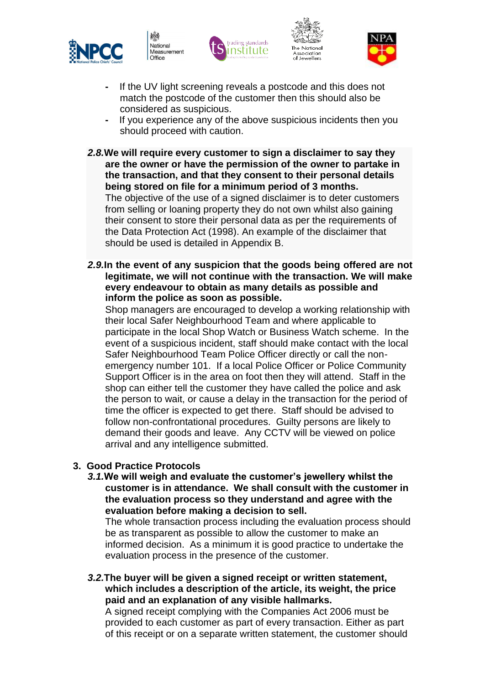

National Measurement Office







- **-** If the UV light screening reveals a postcode and this does not match the postcode of the customer then this should also be considered as suspicious.
- If you experience any of the above suspicious incidents then you should proceed with caution.
- *2.8.***We will require every customer to sign a disclaimer to say they are the owner or have the permission of the owner to partake in the transaction, and that they consent to their personal details being stored on file for a minimum period of 3 months.** The objective of the use of a signed disclaimer is to deter customers from selling or loaning property they do not own whilst also gaining

their consent to store their personal data as per the requirements of the Data Protection Act (1998). An example of the disclaimer that should be used is detailed in Appendix B.

*2.9.***In the event of any suspicion that the goods being offered are not legitimate, we will not continue with the transaction. We will make every endeavour to obtain as many details as possible and inform the police as soon as possible.**

Shop managers are encouraged to develop a working relationship with their local Safer Neighbourhood Team and where applicable to participate in the local Shop Watch or Business Watch scheme. In the event of a suspicious incident, staff should make contact with the local Safer Neighbourhood Team Police Officer directly or call the nonemergency number 101. If a local Police Officer or Police Community Support Officer is in the area on foot then they will attend. Staff in the shop can either tell the customer they have called the police and ask the person to wait, or cause a delay in the transaction for the period of time the officer is expected to get there. Staff should be advised to follow non-confrontational procedures. Guilty persons are likely to demand their goods and leave. Any CCTV will be viewed on police arrival and any intelligence submitted.

# **3. Good Practice Protocols**

*3.1.***We will weigh and evaluate the customer's jewellery whilst the customer is in attendance. We shall consult with the customer in the evaluation process so they understand and agree with the evaluation before making a decision to sell.**

The whole transaction process including the evaluation process should be as transparent as possible to allow the customer to make an informed decision. As a minimum it is good practice to undertake the evaluation process in the presence of the customer.

*3.2.***The buyer will be given a signed receipt or written statement, which includes a description of the article, its weight, the price paid and an explanation of any visible hallmarks.**

A signed receipt complying with the Companies Act 2006 must be provided to each customer as part of every transaction. Either as part of this receipt or on a separate written statement, the customer should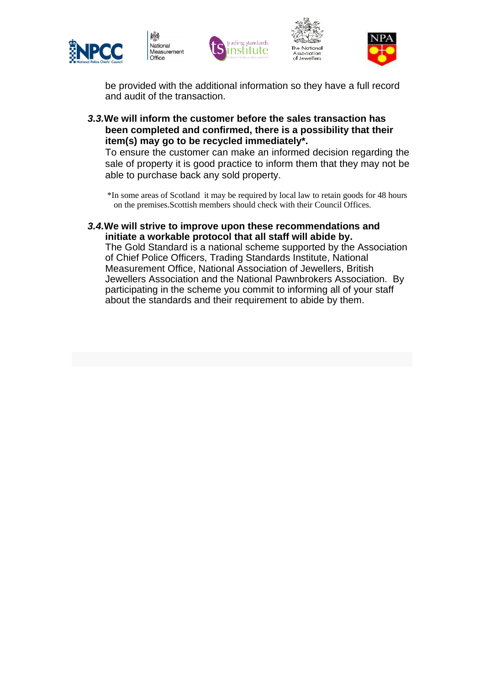

繧

National

Office

Measurement







be provided with the additional information so they have a full record and audit of the transaction.

*3.3.***We will inform the customer before the sales transaction has been completed and confirmed, there is a possibility that their item(s) may go to be recycled immediately\*.**

To ensure the customer can make an informed decision regarding the sale of property it is good practice to inform them that they may not be able to purchase back any sold property.

\*In some areas of Scotland it may be required by local law to retain goods for 48 hours on the premises.Scottish members should check with their Council Offices.

#### *3.4.***We will strive to improve upon these recommendations and initiate a workable protocol that all staff will abide by.**

The Gold Standard is a national scheme supported by the Association of Chief Police Officers, Trading Standards Institute, National Measurement Office, National Association of Jewellers, British Jewellers Association and the National Pawnbrokers Association. By participating in the scheme you commit to informing all of your staff about the standards and their requirement to abide by them.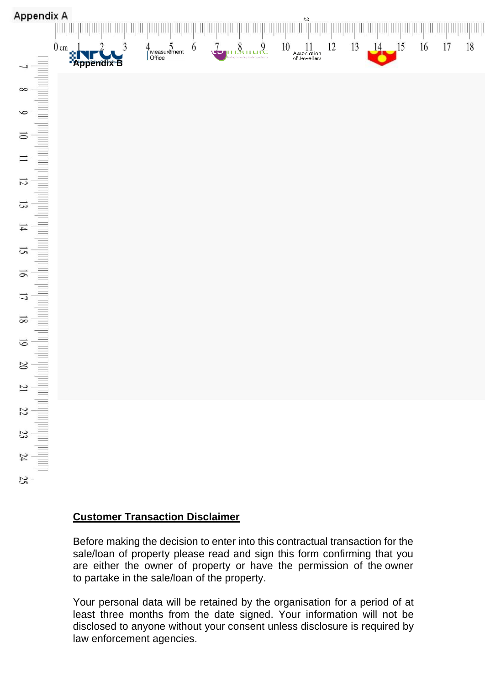

# **Customer Transaction Disclaimer**

Before making the decision to enter into this contractual transaction for the sale/loan of property please read and sign this form confirming that you are either the owner of property or have the permission of the owner to partake in the sale/loan of the property.

Your personal data will be retained by the organisation for a period of at least three months from the date signed. Your information will not be disclosed to anyone without your consent unless disclosure is required by law enforcement agencies.